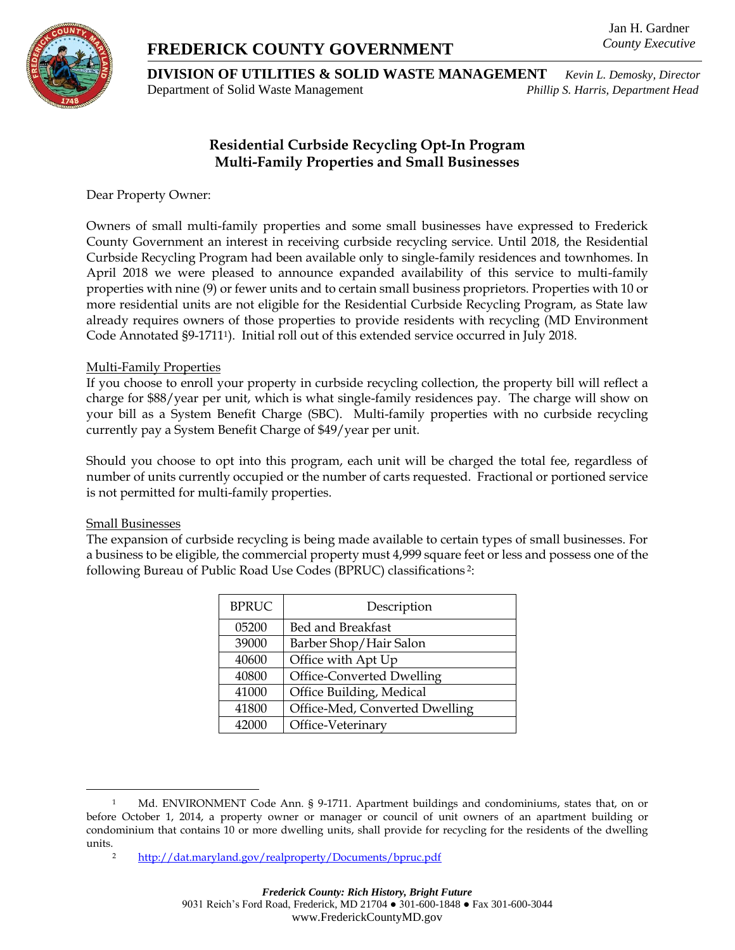# **FREDERICK COUNTY GOVERNMENT**

Jan H. Gardner *County Executive*



**DIVISION OF UTILITIES & SOLID WASTE MANAGEMENT** *Kevin L. Demosky, Director* Department of Solid Waste Management *Phillip S. Harris, Department Head*

## **Residential Curbside Recycling Opt-In Program Multi-Family Properties and Small Businesses**

Dear Property Owner:

Owners of small multi-family properties and some small businesses have expressed to Frederick County Government an interest in receiving curbside recycling service. Until 2018, the Residential Curbside Recycling Program had been available only to single-family residences and townhomes. In April 2018 we were pleased to announce expanded availability of this service to multi-family properties with nine (9) or fewer units and to certain small business proprietors. Properties with 10 or more residential units are not eligible for the Residential Curbside Recycling Program, as State law already requires owners of those properties to provide residents with recycling (MD Environment Code Annotated §9-1711<sup>1</sup>). Initial roll out of this extended service occurred in July 2018.

#### Multi-Family Properties

If you choose to enroll your property in curbside recycling collection, the property bill will reflect a charge for \$88/year per unit, which is what single-family residences pay. The charge will show on your bill as a System Benefit Charge (SBC). Multi-family properties with no curbside recycling currently pay a System Benefit Charge of \$49/year per unit.

Should you choose to opt into this program, each unit will be charged the total fee, regardless of number of units currently occupied or the number of carts requested. Fractional or portioned service is not permitted for multi-family properties.

#### Small Businesses

 $\overline{a}$ 

The expansion of curbside recycling is being made available to certain types of small businesses. For a business to be eligible, the commercial property must 4,999 square feet or less and possess one of the following Bureau of Public Road Use Codes (BPRUC) classifications <sup>2</sup>:

| <b>BPRUC</b> | Description                    |
|--------------|--------------------------------|
| 05200        | Bed and Breakfast              |
| 39000        | Barber Shop/Hair Salon         |
| 40600        | Office with Apt Up             |
| 40800        | Office-Converted Dwelling      |
| 41000        | Office Building, Medical       |
| 41800        | Office-Med, Converted Dwelling |
| 42000        | Office-Veterinary              |

<sup>1</sup> Md. ENVIRONMENT Code Ann. § 9-1711. Apartment buildings and condominiums, states that, on or before October 1, 2014, a property owner or manager or council of unit owners of an apartment building or condominium that contains 10 or more dwelling units, shall provide for recycling for the residents of the dwelling units.

<sup>2</sup> <http://dat.maryland.gov/realproperty/Documents/bpruc.pdf>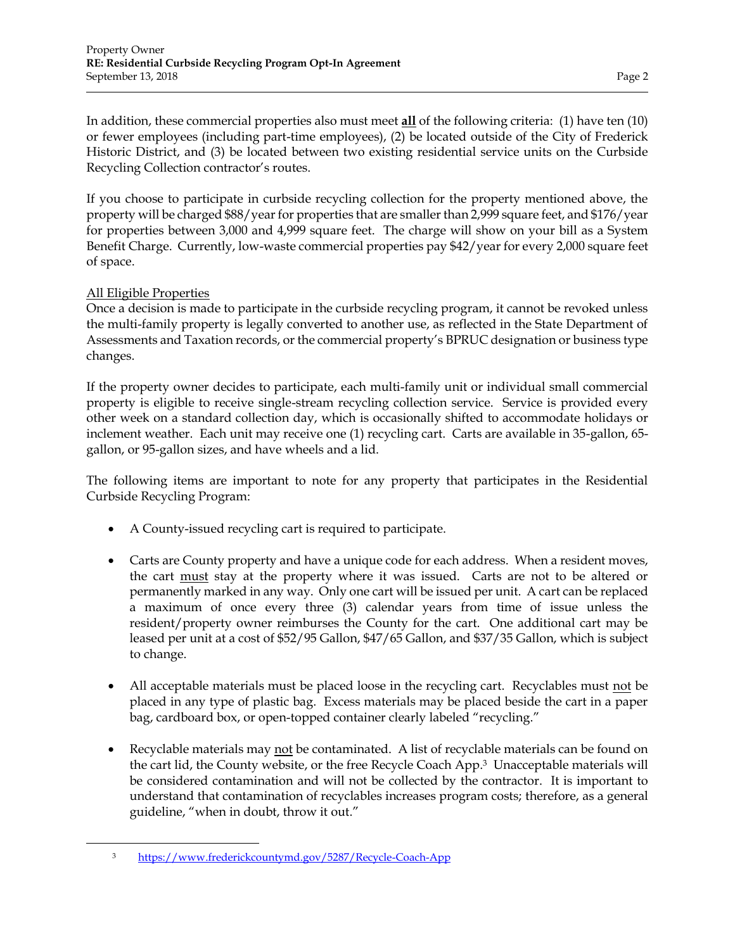In addition, these commercial properties also must meet **all** of the following criteria: (1) have ten (10) or fewer employees (including part-time employees), (2) be located outside of the City of Frederick Historic District, and (3) be located between two existing residential service units on the Curbside Recycling Collection contractor's routes.

If you choose to participate in curbside recycling collection for the property mentioned above, the property will be charged \$88/year for properties that are smaller than 2,999 square feet, and \$176/year for properties between 3,000 and 4,999 square feet. The charge will show on your bill as a System Benefit Charge. Currently, low-waste commercial properties pay \$42/year for every 2,000 square feet of space.

### All Eligible Properties

 $\overline{a}$ 

Once a decision is made to participate in the curbside recycling program, it cannot be revoked unless the multi-family property is legally converted to another use, as reflected in the State Department of Assessments and Taxation records, or the commercial property's BPRUC designation or business type changes.

If the property owner decides to participate, each multi-family unit or individual small commercial property is eligible to receive single-stream recycling collection service. Service is provided every other week on a standard collection day, which is occasionally shifted to accommodate holidays or inclement weather. Each unit may receive one (1) recycling cart. Carts are available in 35-gallon, 65 gallon, or 95-gallon sizes, and have wheels and a lid.

The following items are important to note for any property that participates in the Residential Curbside Recycling Program:

- A County-issued recycling cart is required to participate.
- Carts are County property and have a unique code for each address. When a resident moves, the cart must stay at the property where it was issued. Carts are not to be altered or permanently marked in any way. Only one cart will be issued per unit. A cart can be replaced a maximum of once every three (3) calendar years from time of issue unless the resident/property owner reimburses the County for the cart. One additional cart may be leased per unit at a cost of \$52/95 Gallon, \$47/65 Gallon, and \$37/35 Gallon, which is subject to change.
- All acceptable materials must be placed loose in the recycling cart. Recyclables must not be placed in any type of plastic bag. Excess materials may be placed beside the cart in a paper bag, cardboard box, or open-topped container clearly labeled "recycling."
- Recyclable materials may not be contaminated. A list of recyclable materials can be found on the cart lid, the County website, or the free Recycle Coach App.3 Unacceptable materials will be considered contamination and will not be collected by the contractor. It is important to understand that contamination of recyclables increases program costs; therefore, as a general guideline, "when in doubt, throw it out."

<sup>3</sup> <https://www.frederickcountymd.gov/5287/Recycle-Coach-App>